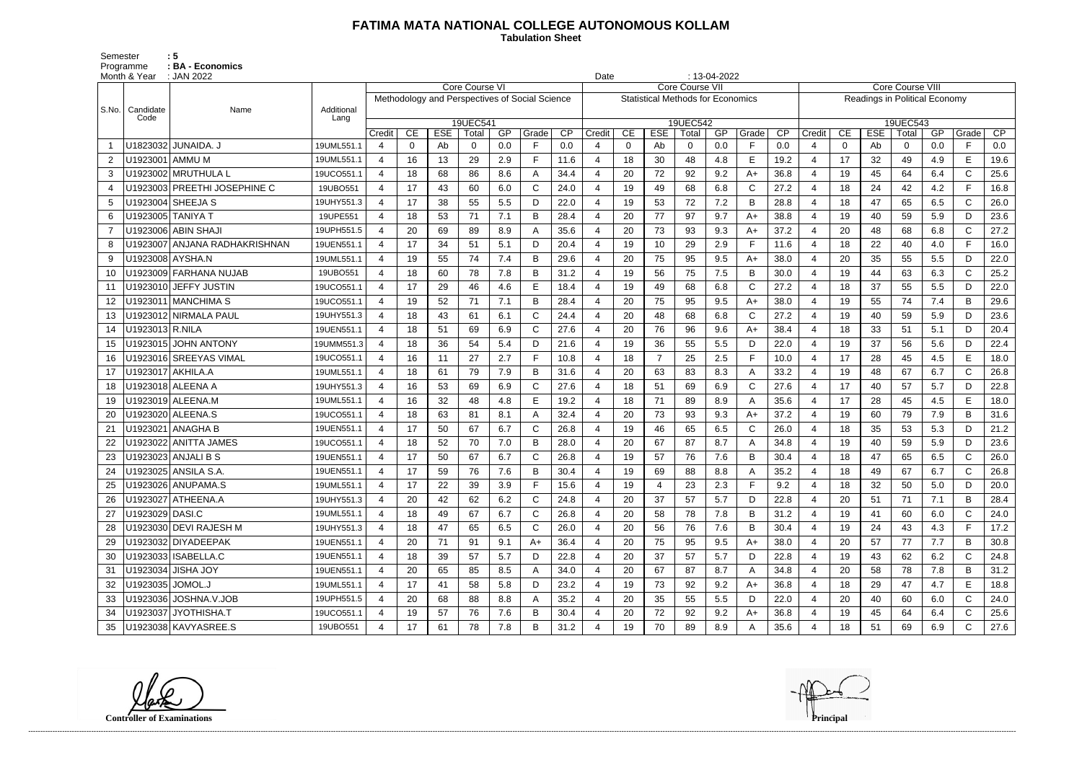## **FATIMA MATA NATIONAL COLLEGE AUTONOMOUS KOLLAM**

 **Tabulation Sheet** 

Semester : 5 Programme : **BA - Economics** 

|                | Month & Year      | $: 13-04-2022$<br>: JAN 2022<br>Date |                    |                |          |            |                       |     |                                                |                 |                |                |            |                                          |     |              |      |                               |          |            |          |     |              |      |
|----------------|-------------------|--------------------------------------|--------------------|----------------|----------|------------|-----------------------|-----|------------------------------------------------|-----------------|----------------|----------------|------------|------------------------------------------|-----|--------------|------|-------------------------------|----------|------------|----------|-----|--------------|------|
|                |                   |                                      |                    |                |          |            | <b>Core Course VI</b> |     |                                                |                 |                |                |            | <b>Core Course VII</b>                   |     |              |      | <b>Core Course VIII</b>       |          |            |          |     |              |      |
|                |                   |                                      |                    |                |          |            |                       |     | Methodology and Perspectives of Social Science |                 |                |                |            | <b>Statistical Methods for Economics</b> |     |              |      | Readings in Political Economy |          |            |          |     |              |      |
| S.No.          | Candidate<br>Code | Name                                 | Additional<br>Lang |                |          |            |                       |     |                                                |                 |                |                |            |                                          |     |              |      | 19UEC543                      |          |            |          |     |              |      |
|                |                   |                                      |                    | Credit         | CE       | <b>ESE</b> | 19UEC541<br>Total     | GP  | Grade                                          | $\overline{CP}$ | Credit         | CE             | <b>ESE</b> | 19UEC542<br>Total                        | GP  | Grade        | CP   | Credit                        | CE       | <b>ESE</b> | Total    | GP  | Grade        | CP   |
|                |                   | U1823032 JUNAIDA. J                  | 19UML551.1         | 4              | $\Omega$ | Ab         | 0                     | 0.0 | F                                              | 0.0             |                | $\overline{0}$ | Ab         | $\mathbf 0$                              | 0.0 | F            | 0.0  | 4                             | $\Omega$ | Ab         | $\Omega$ | 0.0 | F.           | 0.0  |
| $\overline{2}$ | U1923001 AMMU M   |                                      | 19UML551.1         | 4              | 16       | 13         | 29                    | 2.9 | F                                              | 11.6            | $\overline{4}$ | 18             | 30         | 48                                       | 4.8 | E            | 19.2 | $\overline{4}$                | 17       | 32         | 49       | 4.9 | E            | 19.6 |
| 3              |                   | U1923002 MRUTHULA L                  | 19UCO551.1         | 4              | 18       | 68         | 86                    | 8.6 | A                                              | 34.4            | 4              | 20             | 72         | 92                                       | 9.2 | $A+$         | 36.8 | $\overline{4}$                | 19       | 45         | 64       | 6.4 | $\mathsf{C}$ | 25.6 |
| 4              |                   | U1923003 PREETHI JOSEPHINE C         | 19UBO551           | 4              | 17       | 43         | 60                    | 6.0 | C                                              | 24.0            | 4              | 19             | 49         | 68                                       | 6.8 | $\mathsf{C}$ | 27.2 | $\overline{4}$                | 18       | 24         | 42       | 4.2 | Е            | 16.8 |
| 5              |                   | U1923004 SHEEJA S                    | 19UHY551.3         | 4              | 17       | 38         | 55                    | 5.5 | D                                              | 22.0            |                | 19             | 53         | 72                                       | 7.2 | B            | 28.8 | $\overline{4}$                | 18       | 47         | 65       | 6.5 | C            | 26.0 |
| 6              |                   | U1923005   TANIYA T                  | 19UPE551           | 4              | 18       | 53         | 71                    | 7.1 | B                                              | 28.4            |                | 20             | 77         | 97                                       | 9.7 | $A+$         | 38.8 | $\overline{4}$                | 19       | 40         | 59       | 5.9 | D            | 23.6 |
|                |                   | U1923006 ABIN SHAJI                  | 19UPH551.5         | $\overline{a}$ | 20       | 69         | 89                    | 8.9 |                                                | 35.6            |                | 20             | 73         | 93                                       | 9.3 | $A+$         | 37.2 | 4                             | 20       | 48         | 68       | 6.8 | $\mathsf{C}$ | 27.2 |
| 8              |                   | U1923007 ANJANA RADHAKRISHNAN        | 19UEN551.1         | 4              | 17       | 34         | 51                    | 5.1 | D                                              | 20.4            | $\overline{4}$ | 19             | 10         | 29                                       | 2.9 | F            | 11.6 | $\overline{4}$                | 18       | 22         | 40       | 4.0 | F.           | 16.0 |
| 9              | U1923008 AYSHA.N  |                                      | 19UML551.1         | 4              | 19       | 55         | 74                    | 7.4 | B                                              | 29.6            |                | 20             | 75         | 95                                       | 9.5 | $A+$         | 38.0 | $\overline{4}$                | 20       | 35         | 55       | 5.5 | D            | 22.0 |
| 10             |                   | U1923009 FARHANA NUJAB               | 19UBO551           | 4              | 18       | 60         | 78                    | 7.8 | B                                              | 31.2            | 4              | 19             | 56         | 75                                       | 7.5 | B            | 30.0 | 4                             | 19       | 44         | 63       | 6.3 | $\mathsf{C}$ | 25.2 |
| 11             |                   | U1923010 JEFFY JUSTIN                | 19UCO551.1         | $\overline{a}$ | 17       | 29         | 46                    | 4.6 | Е                                              | 18.4            |                | 19             | 49         | 68                                       | 6.8 | C            | 27.2 | $\overline{4}$                | 18       | 37         | 55       | 5.5 | D            | 22.0 |
| 12             |                   | U1923011   MANCHIMA S                | 19UCO551.1         | $\overline{a}$ | 19       | 52         | 71                    | 7.1 | B                                              | 28.4            |                | 20             | 75         | 95                                       | 9.5 | $A+$         | 38.0 | 4                             | 19       | 55         | 74       | 7.4 | B            | 29.6 |
| 13             |                   | U1923012 NIRMALA PAUL                | 19UHY551.3         | 4              | 18       | 43         | 61                    | 6.1 | C                                              | 24.4            | $\overline{4}$ | 20             | 48         | 68                                       | 6.8 | $\mathsf{C}$ | 27.2 | $\overline{4}$                | 19       | 40         | 59       | 5.9 | D            | 23.6 |
| 14             | U1923013 R.NILA   |                                      | 19UEN551.1         | 4              | 18       | 51         | 69                    | 6.9 | $\mathsf{C}$                                   | 27.6            | 4              | 20             | 76         | 96                                       | 9.6 | $A+$         | 38.4 | $\overline{4}$                | 18       | 33         | 51       | 5.1 | D            | 20.4 |
| 15             |                   | U1923015 JOHN ANTONY                 | 19UMM551.3         | 4              | 18       | 36         | 54                    | 5.4 | D                                              | 21.6            | 4              | 19             | 36         | 55                                       | 5.5 | D            | 22.0 | $\overline{4}$                | 19       | 37         | 56       | 5.6 | D            | 22.4 |
| 16             |                   | U1923016 SREEYAS VIMAL               | 19UCO551.1         | 4              | 16       | 11         | 27                    | 2.7 | F                                              | 10.8            |                | 18             |            | 25                                       | 2.5 | F            | 10.0 | $\overline{4}$                | 17       | 28         | 45       | 4.5 | E            | 18.0 |
| 17             | U1923017 AKHILA.A |                                      | 19UML551.1         | 4              | 18       | 61         | 79                    | 7.9 | B                                              | 31.6            |                | 20             | 63         | 83                                       | 8.3 | A            | 33.2 | 4                             | 19       | 48         | 67       | 6.7 | $\mathsf{C}$ | 26.8 |
| 18             |                   | U1923018 ALEENA A                    | 19UHY551.3         | 4              | 16       | 53         | 69                    | 6.9 | C                                              | 27.6            | 4              | 18             | 51         | 69                                       | 6.9 | $\mathsf{C}$ | 27.6 | $\overline{4}$                | 17       | 40         | 57       | 5.7 | D            | 22.8 |
| 19             |                   | U1923019 ALEENA.M                    | 19UML551.1         | 4              | 16       | 32         | 48                    | 4.8 | E                                              | 19.2            |                | 18             | 71         | 89                                       | 8.9 | A            | 35.6 | $\overline{4}$                | 17       | 28         | 45       | 4.5 | E            | 18.0 |
| 20             |                   | U1923020 ALEENA.S                    | 19UCO551.1         | 4              | 18       | 63         | 81                    | 8.1 | A                                              | 32.4            | 4              | 20             | 73         | 93                                       | 9.3 | $A+$         | 37.2 | 4                             | 19       | 60         | 79       | 7.9 | B            | 31.6 |
| 21             |                   | U1923021 ANAGHA B                    | 19UEN551.1         | 4              | 17       | 50         | 67                    | 6.7 | С                                              | 26.8            |                | 19             | 46         | 65                                       | 6.5 | C            | 26.0 | $\overline{4}$                | 18       | 35         | 53       | 5.3 | D            | 21.2 |
| 22             |                   | U1923022 ANITTA JAMES                | 19UCO551.1         | $\overline{a}$ | 18       | 52         | 70                    | 7.0 | B                                              | 28.0            |                | 20             | 67         | 87                                       | 8.7 | A            | 34.8 | 4                             | 19       | 40         | 59       | 5.9 | D            | 23.6 |
| 23             |                   | U1923023 ANJALI B S                  | 19UEN551.1         | 4              | 17       | 50         | 67                    | 6.7 | C                                              | 26.8            | 4              | 19             | 57         | 76                                       | 7.6 | B            | 30.4 | $\overline{4}$                | 18       | 47         | 65       | 6.5 | $\mathsf C$  | 26.0 |
| 24             |                   | U1923025 ANSILA S.A.                 | 19UEN551.1         | 4              | 17       | 59         | 76                    | 7.6 | В                                              | 30.4            |                | 19             | 69         | 88                                       | 8.8 | A            | 35.2 | $\overline{4}$                | 18       | 49         | 67       | 6.7 | $\mathsf{C}$ | 26.8 |
| 25             |                   | U1923026 ANUPAMA.S                   | 19UML551.1         | 4              | 17       | 22         | 39                    | 3.9 | F                                              | 15.6            | 4              | 19             | 4          | 23                                       | 2.3 | E            | 9.2  | 4                             | 18       | 32         | 50       | 5.0 | D            | 20.0 |
| 26             |                   | U1923027 ATHEENA.A                   | 19UHY551.3         | $\overline{4}$ | 20       | 42         | 62                    | 6.2 | C                                              | 24.8            |                | 20             | 37         | 57                                       | 5.7 | D            | 22.8 | 4                             | 20       | 51         | 71       | 7.1 | B            | 28.4 |
| 27             | U1923029 DASI.C   |                                      | 19UML551.1         | $\overline{4}$ | 18       | 49         | 67                    | 6.7 | C                                              | 26.8            | 4              | 20             | 58         | 78                                       | 7.8 | В            | 31.2 | 4                             | 19       | 41         | 60       | 6.0 | C            | 24.0 |
| 28             |                   | U1923030 DEVI RAJESH M               | 19UHY551.3         | 4              | 18       | 47         | 65                    | 6.5 | C                                              | 26.0            | 4              | 20             | 56         | 76                                       | 7.6 | B            | 30.4 | 4                             | 19       | 24         | 43       | 4.3 | F.           | 17.2 |
| 29             |                   | U1923032 DIYADEEPAK                  | 19UEN551.1         | 4              | 20       | 71         | 91                    | 9.1 | $A+$                                           | 36.4            | 4              | 20             | 75         | 95                                       | 9.5 | $A+$         | 38.0 | 4                             | 20       | 57         | 77       | 7.7 | B            | 30.8 |
| -30            |                   | U1923033   ISABELLA.C                | 19UEN551.1         | 4              | 18       | 39         | 57                    | 5.7 | D                                              | 22.8            | 4              | 20             | 37         | 57                                       | 5.7 | D            | 22.8 | 4                             | 19       | 43         | 62       | 6.2 | $\mathsf{C}$ | 24.8 |
| -31            |                   | U1923034 JISHA JOY                   | 19UEN551.1         | 4              | 20       | 65         | 85                    | 8.5 | A                                              | 34.0            |                | 20             | 67         | 87                                       | 8.7 | A            | 34.8 | 4                             | 20       | 58         | 78       | 7.8 | B            | 31.2 |
| 32             | U1923035 JOMOL.J  |                                      | 19UML551.1         | $\overline{4}$ | 17       | 41         | 58                    | 5.8 | D                                              | 23.2            | 4              | 19             | 73         | 92                                       | 9.2 | A+           | 36.8 | 4                             | 18       | 29         | 47       | 4.7 | E            | 18.8 |
| 33             |                   | U1923036 JOSHNA.V.JOB                | 19UPH551.5         | 4              | 20       | 68         | 88                    | 8.8 | A                                              | 35.2            | 4              | 20             | 35         | 55                                       | 5.5 | D            | 22.0 | 4                             | 20       | 40         | 60       | 6.0 | C            | 24.0 |
| 34             |                   | U1923037 JYOTHISHA.T                 | 19UCO551.1         | 4              | 19       | 57         | 76                    | 7.6 | B                                              | 30.4            | 4              | 20             | 72         | 92                                       | 9.2 | $A+$         | 36.8 | 4                             | 19       | 45         | 64       | 6.4 | $\mathsf{C}$ | 25.6 |
| 35             |                   | U1923038 KAVYASREE.S                 | 19UBO551           | 4              | 17       | 61         | 78                    | 7.8 | B                                              | 31.2            | 4              | 19             | 70         | 89                                       | 8.9 | A            | 35.6 | 4                             | 18       | 51         | 69       | 6.9 | $\mathsf{C}$ | 27.6 |

**Controller of Examinations Principal**

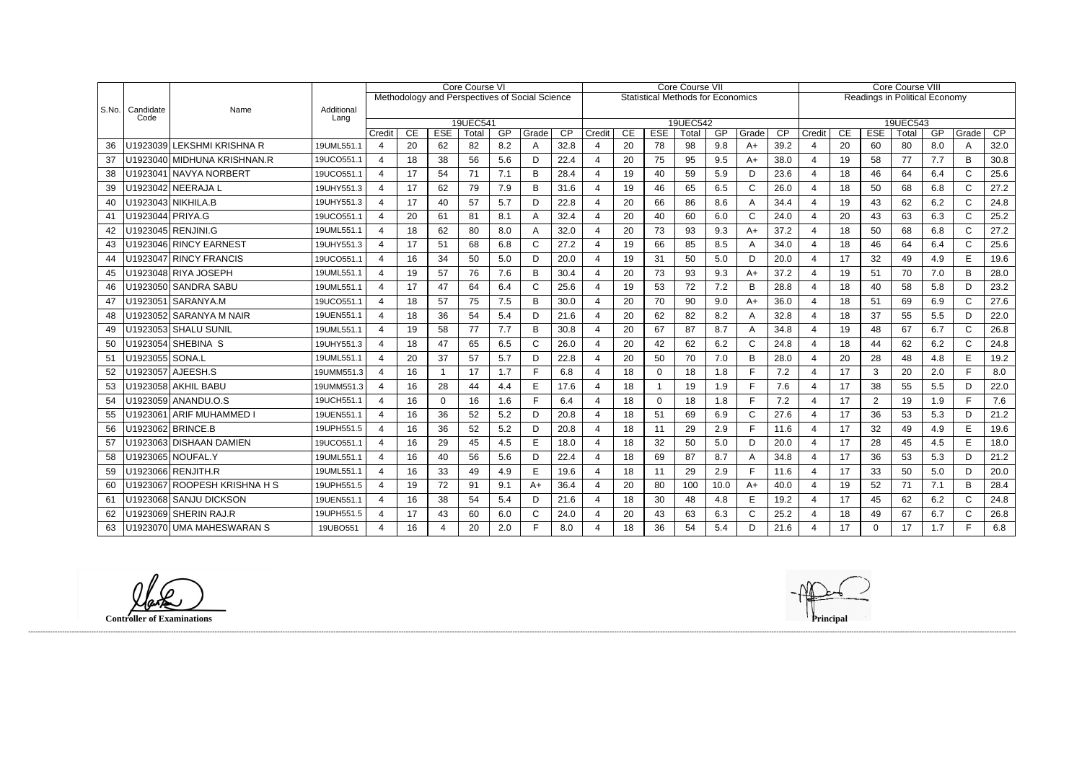|       |                   |                               |                    | <b>Core Course VI</b><br>Methodology and Perspectives of Social Science |    |                  |                   |     |              | Core Course VII |                       |    |              |                                          |      |              | Core Course VIII |                          |    |                |                                      |     |              |      |
|-------|-------------------|-------------------------------|--------------------|-------------------------------------------------------------------------|----|------------------|-------------------|-----|--------------|-----------------|-----------------------|----|--------------|------------------------------------------|------|--------------|------------------|--------------------------|----|----------------|--------------------------------------|-----|--------------|------|
|       |                   |                               |                    |                                                                         |    |                  |                   |     |              |                 |                       |    |              | <b>Statistical Methods for Economics</b> |      |              |                  |                          |    |                | <b>Readings in Political Economy</b> |     |              |      |
| S.No. | Candidate<br>Code | Name                          | Additional<br>Lang |                                                                         |    |                  |                   |     |              |                 |                       |    |              |                                          |      |              |                  |                          |    |                |                                      |     |              |      |
|       |                   |                               |                    | Credit                                                                  | CE | <b>ESE</b>       | 19UEC541<br>Total | GP  | Grade        | $\overline{CP}$ | Credit                | CE | <b>ESE</b>   | 19UEC542<br>Total                        | GP   | Grade        | $\overline{CP}$  | Credit                   | CE | <b>ESE</b>     | 19UEC543<br>Total                    | GP  | Grade        | CP   |
| 36    | U1923039          | <b>LEKSHMI KRISHNA R</b>      | 19UML551.1         | 4                                                                       | 20 | 62               | 82                | 8.2 | A            | 32.8            |                       | 20 | 78           | 98                                       | 9.8  | $A+$         | 39.2             | 4                        | 20 | 60             | 80                                   | 8.0 | A            | 32.0 |
| 37    |                   | U1923040   MIDHUNA KRISHNAN.R | 19UCO551.1         | $\overline{4}$                                                          | 18 | 38               | 56                | 5.6 | D            | 22.4            | 4                     | 20 | 75           | 95                                       | 9.5  | A+           | 38.0             | $\overline{4}$           | 19 | 58             | 77                                   | 7.7 | B            | 30.8 |
| 38    |                   | U1923041 NAVYA NORBERT        | 19UCO551.1         | $\overline{4}$                                                          | 17 | 54               | 71                | 7.1 | B            | 28.4            | $\boldsymbol{\Delta}$ | 19 | 40           | 59                                       | 5.9  | D            | 23.6             | $\overline{4}$           | 18 | 46             | 64                                   | 6.4 | $\mathsf{C}$ | 25.6 |
| 39    |                   | U1923042 NEERAJA L            | 19UHY551.3         | 4                                                                       | 17 | 62               | 79                | 7.9 | B            | 31.6            | $\boldsymbol{\Delta}$ | 19 | 46           | 65                                       | 6.5  | $\mathsf{C}$ | 26.0             | $\overline{4}$           | 18 | 50             | 68                                   | 6.8 | $\mathsf{C}$ | 27.2 |
| 40    |                   | U1923043   NIKHILA.B          | 19UHY551.3         | 4                                                                       | 17 | 40               | 57                | 5.7 | D            | 22.8            |                       | 20 | 66           | 86                                       | 8.6  | A            | 34.4             | $\overline{4}$           | 19 | 43             | 62                                   | 6.2 | C            | 24.8 |
| 41    | U1923044 PRIYA.G  |                               | 19UCO551.1         | $\boldsymbol{\Delta}$                                                   | 20 | 61               | 81                | 8.1 | А            | 32.4            |                       | 20 | 40           | 60                                       | 6.0  | $\mathsf{C}$ | 24.0             | $\boldsymbol{\varDelta}$ | 20 | 43             | 63                                   | 6.3 | $\mathsf{C}$ | 25.2 |
| 42    |                   | J1923045 RENJINI.G            | 19UML551.1         | 4                                                                       | 18 | 62               | 80                | 8.0 | A            | 32.0            | $\overline{4}$        | 20 | 73           | 93                                       | 9.3  | $A+$         | 37.2             | $\overline{4}$           | 18 | 50             | 68                                   | 6.8 | C            | 27.2 |
| 43    |                   | U1923046 RINCY EARNEST        | 19UHY551.3         | 4                                                                       | 17 | 51               | 68                | 6.8 | $\mathsf{C}$ | 27.2            |                       | 19 | 66           | 85                                       | 8.5  | A            | 34.0             | $\overline{4}$           | 18 | 46             | 64                                   | 6.4 | C            | 25.6 |
| 44    |                   | U1923047 RINCY FRANCIS        | 19UCO551.1         | 4                                                                       | 16 | 34               | 50                | 5.0 | D            | 20.0            | $\boldsymbol{\Delta}$ | 19 | 31           | 50                                       | 5.0  | D            | 20.0             | $\overline{4}$           | 17 | 32             | 49                                   | 4.9 | E            | 19.6 |
| 45    |                   | U1923048 RIYA JOSEPH          | 19UML551.1         | 4                                                                       | 19 | 57               | 76                | 7.6 | B            | 30.4            | 4                     | 20 | 73           | 93                                       | 9.3  | $A+$         | 37.2             | $\overline{4}$           | 19 | 51             | 70                                   | 7.0 | B            | 28.0 |
| 46    |                   | U1923050 SANDRA SABU          | 19UML551.1         | $\overline{4}$                                                          | 17 | 47               | 64                | 6.4 | $\mathsf{C}$ | 25.6            |                       | 19 | 53           | 72                                       | 7.2  | B            | 28.8             | $\overline{4}$           | 18 | 40             | 58                                   | 5.8 | D            | 23.2 |
| 47    |                   | U1923051   SARANYA.M          | 19UCO551.1         | 4                                                                       | 18 | 57               | 75                | 7.5 | <sub>B</sub> | 30.0            | $\boldsymbol{\Delta}$ | 20 | 70           | 90                                       | 9.0  | $A+$         | 36.0             | $\overline{4}$           | 18 | 51             | 69                                   | 6.9 | $\mathsf{C}$ | 27.6 |
| 48    | J1923052          | <b>SARANYA M NAIR</b>         | 19UEN551.1         | 4                                                                       | 18 | 36               | 54                | 5.4 | D            | 21.6            | 4                     | 20 | 62           | 82                                       | 8.2  | A            | 32.8             | $\overline{4}$           | 18 | 37             | 55                                   | 5.5 | D            | 22.0 |
| 49    |                   | U1923053 SHALU SUNIL          | 19UML551.1         | $\overline{4}$                                                          | 19 | 58               | 77                | 7.7 | B            | 30.8            |                       | 20 | 67           | 87                                       | 8.7  | A            | 34.8             | $\overline{4}$           | 19 | 48             | 67                                   | 6.7 | C            | 26.8 |
| 50    |                   | U1923054 SHEBINA S            | 19UHY551.3         | $\overline{4}$                                                          | 18 | 47               | 65                | 6.5 | C            | 26.0            | 4                     | 20 | 42           | 62                                       | 6.2  | $\mathsf{C}$ | 24.8             | $\overline{4}$           | 18 | 44             | 62                                   | 6.2 | $\mathsf{C}$ | 24.8 |
| 51    | U1923055   SONA.L |                               | 19UML551.1         | 4                                                                       | 20 | 37               | 57                | 5.7 | D            | 22.8            |                       | 20 | 50           | 70                                       | 7.0  | B            | 28.0             | $\overline{4}$           | 20 | 28             | 48                                   | 4.8 | E            | 19.2 |
| 52    |                   | U1923057   AJEESH.S           | 19UMM551.3         | $\overline{4}$                                                          | 16 | -1               | 17                | 1.7 | Е            | 6.8             |                       | 18 | $\mathbf{0}$ | 18                                       | 1.8  | $\mathsf{F}$ | 7.2              | $\overline{4}$           | 17 | 3              | 20                                   | 2.0 | Е            | 8.0  |
| 53    |                   | U1923058   AKHIL BABU         | 19UMM551.3         | $\overline{4}$                                                          | 16 | 28               | 44                | 4.4 | E            | 17.6            | $\boldsymbol{\Delta}$ | 18 | -1           | 19                                       | 1.9  | E            | 7.6              | $\overline{4}$           | 17 | 38             | 55                                   | 5.5 | D.           | 22.0 |
| 54    |                   | U1923059 ANANDU.O.S           | 19UCH551.1         | 4                                                                       | 16 | 0                | 16                | 1.6 | F            | 6.4             | 4                     | 18 | 0            | 18                                       | 1.8  | $\mathsf{F}$ | 7.2              | $\overline{4}$           | 17 | $\overline{2}$ | 19                                   | 1.9 | F.           | 7.6  |
| 55    |                   | U1923061 ARIF MUHAMMED I      | 19UEN551.1         | 4                                                                       | 16 | 36               | 52                | 5.2 | D            | 20.8            | $\boldsymbol{\Delta}$ | 18 | 51           | 69                                       | 6.9  | $\mathsf{C}$ | 27.6             | $\overline{4}$           | 17 | 36             | 53                                   | 5.3 | D            | 21.2 |
| 56    |                   | J1923062 BRINCE.B             | 19UPH551.5         | $\overline{4}$                                                          | 16 | 36               | 52                | 5.2 | D            | 20.8            | 4                     | 18 | 11           | 29                                       | 2.9  | $\mathsf{F}$ | 11.6             | $\overline{4}$           | 17 | 32             | 49                                   | 4.9 | E            | 19.6 |
| 57    |                   | U1923063 DISHAAN DAMIEN       | 19UCO551.1         | 4                                                                       | 16 | 29               | 45                | 4.5 | E            | 18.0            | 4                     | 18 | 32           | 50                                       | 5.0  | D            | 20.0             | $\overline{4}$           | 17 | 28             | 45                                   | 4.5 | E            | 18.0 |
| 58    |                   | U1923065   NOUFAL.Y           | 19UML551.1         | 4                                                                       | 16 | 40               | 56                | 5.6 | D            | 22.4            | $\boldsymbol{\Delta}$ | 18 | 69           | 87                                       | 8.7  | A            | 34.8             | $\overline{4}$           | 17 | 36             | 53                                   | 5.3 | D.           | 21.2 |
| 59    |                   | J1923066 RENJITH.R            | 19UML551.1         | $\overline{4}$                                                          | 16 | 33               | 49                | 4.9 | E            | 19.6            | $\boldsymbol{\Delta}$ | 18 | 11           | 29                                       | 2.9  | $\mathsf{F}$ | 11.6             | $\overline{4}$           | 17 | 33             | 50                                   | 5.0 | D            | 20.0 |
| 60    |                   | U1923067 ROOPESH KRISHNA H S  | 19UPH551.5         | 4                                                                       | 19 | 72               | 91                | 9.1 | A+           | 36.4            | Δ                     | 20 | 80           | 100                                      | 10.0 | $A+$         | 40.0             | $\overline{4}$           | 19 | 52             | 71                                   | 7.1 | B            | 28.4 |
| 61    |                   | U1923068 SANJU DICKSON        | 19UEN551.1         | $\overline{a}$                                                          | 16 | 38               | 54                | 5.4 | D            | 21.6            | 4                     | 18 | 30           | 48                                       | 4.8  | E            | 19.2             | $\overline{4}$           | 17 | 45             | 62                                   | 6.2 | C            | 24.8 |
| 62    | U1923069          | <b>SHERIN RAJ.R</b>           | 19UPH551.5         | 4                                                                       | 17 | 43               | 60                | 6.0 | C            | 24.0            |                       | 20 | 43           | 63                                       | 6.3  | $\mathsf{C}$ | 25.2             | $\overline{4}$           | 18 | 49             | 67                                   | 6.7 | C            | 26.8 |
| 63    |                   | U1923070 UMA MAHESWARAN S     | 19UBO551           | 4                                                                       | 16 | $\boldsymbol{4}$ | 20                | 2.0 |              | 8.0             |                       | 18 | 36           | 54                                       | 5.4  | D            | 21.6             | $\overline{4}$           | 17 | $\Omega$       | 17                                   | 1.7 | Е            | 6.8  |

**Controller of Examinations Principal**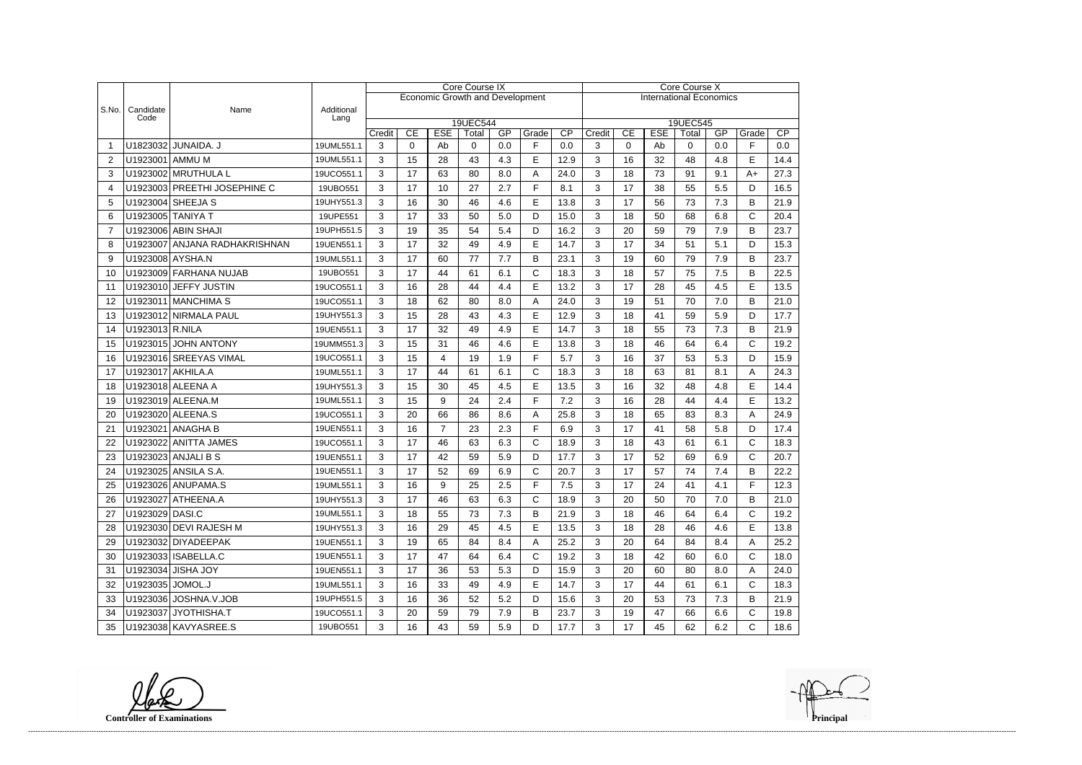|                |                   |                               |                    | <b>Core Course IX</b> |                      |                  |                                        |           |              |           | Core Course X                  |                   |                  |            |     |              |      |  |
|----------------|-------------------|-------------------------------|--------------------|-----------------------|----------------------|------------------|----------------------------------------|-----------|--------------|-----------|--------------------------------|-------------------|------------------|------------|-----|--------------|------|--|
|                |                   |                               |                    |                       |                      |                  | <b>Economic Growth and Development</b> |           |              |           | <b>International Economics</b> |                   |                  |            |     |              |      |  |
| S.No.          | Candidate<br>Code | Name                          | Additional<br>Lang |                       |                      |                  |                                        |           |              |           |                                |                   |                  |            |     |              |      |  |
|                |                   |                               |                    | Credit                | 19UEC544<br>19UEC545 |                  |                                        |           |              |           |                                |                   |                  |            | GP  | Grade        | CP   |  |
| -1             |                   | U1823032 JUNAIDA. J           | 19UML551.1         | 3                     | CE<br>0              | <b>ESE</b><br>Ab | Total<br>0                             | GP<br>0.0 | Grade<br>F   | CP<br>0.0 | Credit<br>3                    | CE<br>$\mathbf 0$ | <b>ESE</b><br>Ab | Total<br>0 | 0.0 | F            | 0.0  |  |
| 2              | U1923001 AMMU M   |                               | 19UML551.1         | 3                     | 15                   | 28               | 43                                     | 4.3       | E            | 12.9      | 3                              | 16                | 32               | 48         | 4.8 | E            | 14.4 |  |
| 3              |                   | U1923002 MRUTHULA L           | 19UCO551.1         | 3                     | 17                   | 63               | 80                                     | 8.0       | A            | 24.0      | 3                              | 18                | 73               | 91         | 9.1 | $A+$         | 27.3 |  |
| 4              |                   | U1923003 PREETHI JOSEPHINE C  | 19UBO551           | 3                     | 17                   | 10               | 27                                     | 2.7       | F            | 8.1       | 3                              | 17                | 38               | 55         | 5.5 | D            | 16.5 |  |
| 5              |                   | U1923004 SHEEJA S             | 19UHY551.3         | 3                     | 16                   | 30               | 46                                     | 4.6       | $\mathsf E$  | 13.8      | 3                              | 17                | 56               | 73         | 7.3 | B            | 21.9 |  |
| 6              | U1923005 TANIYA T |                               | 19UPE551           | 3                     | 17                   | 33               | 50                                     | 5.0       | D            | 15.0      | 3                              | 18                | 50               | 68         | 6.8 | C            | 20.4 |  |
| $\overline{7}$ |                   | U1923006 ABIN SHAJI           | 19UPH551.5         | 3                     | 19                   | 35               | 54                                     | 5.4       | D            | 16.2      | 3                              | 20                | 59               | 79         | 7.9 | B            | 23.7 |  |
| 8              |                   | U1923007 ANJANA RADHAKRISHNAN | 19UEN551.1         | 3                     | 17                   | 32               | 49                                     | 4.9       | E            | 14.7      | 3                              | 17                | 34               | 51         | 5.1 | D            | 15.3 |  |
| 9              | U1923008 AYSHA.N  |                               | 19UML551.1         | 3                     | 17                   | 60               | 77                                     | 7.7       | B            | 23.1      | 3                              | 19                | 60               | 79         | 7.9 | B            | 23.7 |  |
| 10             |                   | U1923009 FARHANA NUJAB        | 19UBO551           | 3                     | 17                   | 44               | 61                                     | 6.1       | $\mathsf C$  | 18.3      | 3                              | 18                | 57               | 75         | 7.5 | B            | 22.5 |  |
| 11             |                   | U1923010 JEFFY JUSTIN         | 19UCO551.1         | 3                     | 16                   | 28               | 44                                     | 4.4       | E            | 13.2      | 3                              | 17                | 28               | 45         | 4.5 | E            | 13.5 |  |
| 12             |                   | U1923011 MANCHIMA S           | 19UCO551.1         | 3                     | 18                   | 62               | 80                                     | 8.0       | A            | 24.0      | 3                              | 19                | 51               | 70         | 7.0 | B            | 21.0 |  |
| 13             |                   | U1923012 NIRMALA PAUL         | 19UHY551.3         | 3                     | 15                   | 28               | 43                                     | 4.3       | E            | 12.9      | 3                              | 18                | 41               | 59         | 5.9 | D            | 17.7 |  |
| 14             | U1923013 R.NILA   |                               | 19UEN551.1         | 3                     | 17                   | 32               | 49                                     | 4.9       | $\mathsf E$  | 14.7      | 3                              | 18                | 55               | 73         | 7.3 | B            | 21.9 |  |
| 15             |                   | U1923015 JOHN ANTONY          | 19UMM551.3         | 3                     | 15                   | 31               | 46                                     | 4.6       | E            | 13.8      | 3                              | 18                | 46               | 64         | 6.4 | C            | 19.2 |  |
| 16             |                   | U1923016 SREEYAS VIMAL        | 19UCO551.1         | 3                     | 15                   | $\overline{4}$   | 19                                     | 1.9       | F            | 5.7       | 3                              | 16                | 37               | 53         | 5.3 | D            | 15.9 |  |
| 17             | U1923017 AKHILA.A |                               | 19UML551.1         | 3                     | 17                   | 44               | 61                                     | 6.1       | $\mathsf{C}$ | 18.3      | 3                              | 18                | 63               | 81         | 8.1 | A            | 24.3 |  |
| 18             |                   | U1923018 ALEENA A             | 19UHY551.3         | 3                     | 15                   | 30               | 45                                     | 4.5       | E            | 13.5      | 3                              | 16                | 32               | 48         | 4.8 | E            | 14.4 |  |
| 19             |                   | U1923019 ALEENA.M             | 19UML551.1         | 3                     | 15                   | 9                | 24                                     | 2.4       | F            | 7.2       | 3                              | 16                | 28               | 44         | 4.4 | E            | 13.2 |  |
| 20             |                   | U1923020 ALEENA.S             | 19UCO551.1         | 3                     | 20                   | 66               | 86                                     | 8.6       | A            | 25.8      | 3                              | 18                | 65               | 83         | 8.3 | A            | 24.9 |  |
| 21             |                   | U1923021 ANAGHA B             | 19UEN551.1         | 3                     | 16                   | $\overline{7}$   | 23                                     | 2.3       | F            | 6.9       | 3                              | 17                | 41               | 58         | 5.8 | D            | 17.4 |  |
| 22             |                   | U1923022 ANITTA JAMES         | 19UCO551.1         | 3                     | 17                   | 46               | 63                                     | 6.3       | $\mathsf{C}$ | 18.9      | 3                              | 18                | 43               | 61         | 6.1 | $\mathsf{C}$ | 18.3 |  |
| 23             |                   | U1923023 ANJALI B S           | 19UEN551.1         | 3                     | 17                   | 42               | 59                                     | 5.9       | D            | 17.7      | 3                              | 17                | 52               | 69         | 6.9 | C            | 20.7 |  |
| 24             |                   | U1923025 ANSILA S.A.          | 19UEN551.1         | 3                     | 17                   | 52               | 69                                     | 6.9       | $\mathsf{C}$ | 20.7      | 3                              | 17                | 57               | 74         | 7.4 | B            | 22.2 |  |
| 25             |                   | U1923026 ANUPAMA.S            | 19UML551.1         | 3                     | 16                   | 9                | 25                                     | 2.5       | F            | 7.5       | 3                              | 17                | 24               | 41         | 4.1 | F            | 12.3 |  |
| 26             |                   | U1923027 ATHEENA.A            | 19UHY551.3         | 3                     | 17                   | 46               | 63                                     | 6.3       | $\mathsf{C}$ | 18.9      | 3                              | 20                | 50               | 70         | 7.0 | В            | 21.0 |  |
| 27             | U1923029 DASI.C   |                               | 19UML551.1         | 3                     | 18                   | 55               | 73                                     | 7.3       | B            | 21.9      | 3                              | 18                | 46               | 64         | 6.4 | C            | 19.2 |  |
| 28             |                   | U1923030 DEVI RAJESH M        | 19UHY551.3         | 3                     | 16                   | 29               | 45                                     | 4.5       | E            | 13.5      | 3                              | 18                | 28               | 46         | 4.6 | E            | 13.8 |  |
| 29             |                   | U1923032 DIYADEEPAK           | 19UEN551.1         | 3                     | 19                   | 65               | 84                                     | 8.4       | A            | 25.2      | 3                              | 20                | 64               | 84         | 8.4 | A            | 25.2 |  |
| 30             |                   | U1923033   ISABELLA.C         | 19UEN551.1         | 3                     | 17                   | 47               | 64                                     | 6.4       | $\mathsf{C}$ | 19.2      | 3                              | 18                | 42               | 60         | 6.0 | C            | 18.0 |  |
| 31             |                   | U1923034 JISHA JOY            | 19UEN551.1         | 3                     | 17                   | 36               | 53                                     | 5.3       | D            | 15.9      | 3                              | 20                | 60               | 80         | 8.0 | A            | 24.0 |  |
| 32             | U1923035 JOMOL.J  |                               | 19UML551.1         | 3                     | 16                   | 33               | 49                                     | 4.9       | E            | 14.7      | 3                              | 17                | 44               | 61         | 6.1 | C            | 18.3 |  |
| 33             |                   | U1923036 JOSHNA.V.JOB         | 19UPH551.5         | 3                     | 16                   | 36               | 52                                     | 5.2       | D            | 15.6      | 3                              | 20                | 53               | 73         | 7.3 | B            | 21.9 |  |
| 34             |                   | U1923037 JYOTHISHA.T          | 19UCO551.1         | 3                     | 20                   | 59               | 79                                     | 7.9       | B            | 23.7      | 3                              | 19                | 47               | 66         | 6.6 | C            | 19.8 |  |
| 35             |                   | U1923038 KAVYASREE.S          | 19UBO551           | 3                     | 16                   | 43               | 59                                     | 5.9       | D            | 17.7      | 3                              | 17                | 45               | 62         | 6.2 | С            | 18.6 |  |

**Controller of Examinations**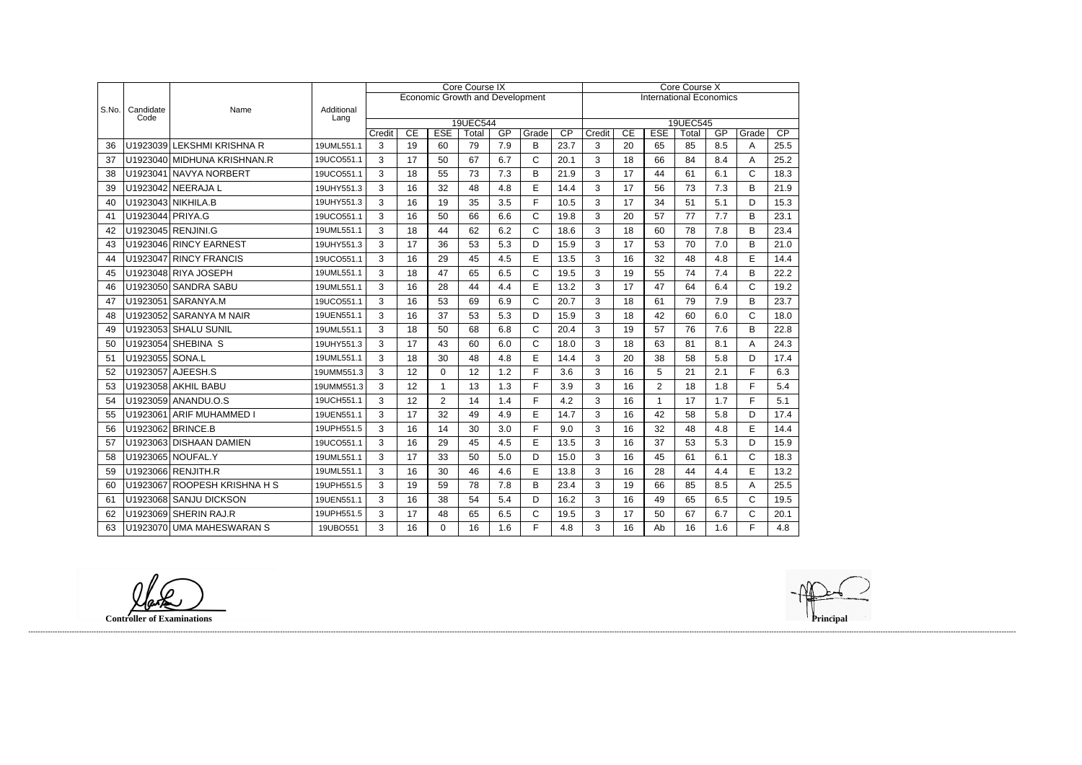|       |                   |                              |                    | Core Course IX |    |                                        |                   |     |              |      |                                | Core Course X   |                |                   |     |              |      |  |  |
|-------|-------------------|------------------------------|--------------------|----------------|----|----------------------------------------|-------------------|-----|--------------|------|--------------------------------|-----------------|----------------|-------------------|-----|--------------|------|--|--|
|       |                   |                              |                    |                |    | <b>Economic Growth and Development</b> |                   |     |              |      | <b>International Economics</b> |                 |                |                   |     |              |      |  |  |
| S.No. | Candidate<br>Code | Name                         | Additional<br>Lang |                |    |                                        |                   |     |              |      |                                |                 |                |                   |     |              |      |  |  |
|       |                   |                              |                    | Credit         | CE | <b>ESE</b>                             | 19UEC544<br>Total | GP  | Grade        | CP   | Credit                         | $\overline{CE}$ | <b>ESE</b>     | 19UEC545<br>Total | GP  | Grade        | CP   |  |  |
| 36    |                   | U1923039 LEKSHMI KRISHNA R   | 19UML551.1         | 3              | 19 | 60                                     | 79                | 7.9 | B            | 23.7 | 3                              | 20              | 65             | 85                | 8.5 | A            | 25.5 |  |  |
| 37    |                   | U1923040 MIDHUNA KRISHNAN.R  | 19UCO551.1         | 3              | 17 | 50                                     | 67                | 6.7 | $\mathsf{C}$ | 20.1 | 3                              | 18              | 66             | 84                | 8.4 | A            | 25.2 |  |  |
| 38    |                   | U1923041 NAVYA NORBERT       | 19UCO551.1         | 3              | 18 | 55                                     | 73                | 7.3 | B            | 21.9 | 3                              | 17              | 44             | 61                | 6.1 | $\mathsf{C}$ | 18.3 |  |  |
| 39    |                   | U1923042 NEERAJA L           | 19UHY551.3         | 3              | 16 | 32                                     | 48                | 4.8 | E            | 14.4 | 3                              | 17              | 56             | 73                | 7.3 | B            | 21.9 |  |  |
| 40    |                   | U1923043 NIKHILA.B           | 19UHY551.3         | 3              | 16 | 19                                     | 35                | 3.5 | F            | 10.5 | 3                              | 17              | 34             | 51                | 5.1 | D            | 15.3 |  |  |
| 41    | U1923044 PRIYA.G  |                              | 19UCO551.1         | 3              | 16 | 50                                     | 66                | 6.6 | $\mathsf{C}$ | 19.8 | 3                              | 20              | 57             | 77                | 7.7 | B            | 23.1 |  |  |
| 42    |                   | U1923045 RENJINI.G           | 19UML551.1         | 3              | 18 | 44                                     | 62                | 6.2 | $\mathsf{C}$ | 18.6 | 3                              | 18              | 60             | 78                | 7.8 | B            | 23.4 |  |  |
| 43    |                   | U1923046 RINCY EARNEST       | 19UHY551.3         | 3              | 17 | 36                                     | 53                | 5.3 | D            | 15.9 | 3                              | 17              | 53             | 70                | 7.0 | B            | 21.0 |  |  |
| 44    |                   | U1923047 RINCY FRANCIS       | 19UCO551.1         | 3              | 16 | 29                                     | 45                | 4.5 | E            | 13.5 | 3                              | 16              | 32             | 48                | 4.8 | E            | 14.4 |  |  |
| 45    |                   | U1923048 RIYA JOSEPH         | 19UML551.1         | 3              | 18 | 47                                     | 65                | 6.5 | $\mathsf C$  | 19.5 | 3                              | 19              | 55             | 74                | 7.4 | B            | 22.2 |  |  |
| 46    |                   | U1923050 SANDRA SABU         | 19UML551.1         | 3              | 16 | 28                                     | 44                | 4.4 | E            | 13.2 | 3                              | 17              | 47             | 64                | 6.4 | $\mathsf{C}$ | 19.2 |  |  |
| 47    |                   | U1923051 SARANYA.M           | 19UCO551.1         | 3              | 16 | 53                                     | 69                | 6.9 | C            | 20.7 | 3                              | 18              | 61             | 79                | 7.9 | B            | 23.7 |  |  |
| 48    |                   | U1923052 SARANYA M NAIR      | 19UEN551.1         | 3              | 16 | 37                                     | 53                | 5.3 | D            | 15.9 | 3                              | 18              | 42             | 60                | 6.0 | $\mathsf{C}$ | 18.0 |  |  |
| 49    |                   | U1923053 SHALU SUNIL         | 19UML551.1         | 3              | 18 | 50                                     | 68                | 6.8 | $\mathsf{C}$ | 20.4 | 3                              | 19              | 57             | 76                | 7.6 | B            | 22.8 |  |  |
| 50    |                   | U1923054 SHEBINA S           | 19UHY551.3         | 3              | 17 | 43                                     | 60                | 6.0 | $\mathsf{C}$ | 18.0 | 3                              | 18              | 63             | 81                | 8.1 | A            | 24.3 |  |  |
| 51    | U1923055 SONA.L   |                              | 19UML551.1         | 3              | 18 | 30                                     | 48                | 4.8 | E            | 14.4 | 3                              | 20              | 38             | 58                | 5.8 | D            | 17.4 |  |  |
| 52    |                   | U1923057 AJEESH.S            | 19UMM551.3         | 3              | 12 | $\mathbf 0$                            | 12                | 1.2 | F            | 3.6  | 3                              | 16              | 5              | 21                | 2.1 | F            | 6.3  |  |  |
| 53    |                   | U1923058 AKHIL BABU          | 19UMM551.3         | 3              | 12 | $\mathbf 1$                            | 13                | 1.3 | F            | 3.9  | 3                              | 16              | $\overline{2}$ | 18                | 1.8 | F            | 5.4  |  |  |
| 54    |                   | U1923059 ANANDU.O.S          | 19UCH551.1         | 3              | 12 | $\overline{2}$                         | 14                | 1.4 | F            | 4.2  | 3                              | 16              | $\mathbf{1}$   | 17                | 1.7 | F            | 5.1  |  |  |
| 55    |                   | U1923061 ARIF MUHAMMED I     | 19UEN551.1         | 3              | 17 | 32                                     | 49                | 4.9 | E            | 14.7 | 3                              | 16              | 42             | 58                | 5.8 | D            | 17.4 |  |  |
| 56    |                   | U1923062 BRINCE.B            | 19UPH551.5         | 3              | 16 | 14                                     | 30                | 3.0 | F            | 9.0  | 3                              | 16              | 32             | 48                | 4.8 | E            | 14.4 |  |  |
| 57    |                   | U1923063 DISHAAN DAMIEN      | 19UCO551.1         | 3              | 16 | 29                                     | 45                | 4.5 | E            | 13.5 | 3                              | 16              | 37             | 53                | 5.3 | D            | 15.9 |  |  |
| 58    |                   | U1923065 NOUFAL.Y            | 19UML551.1         | 3              | 17 | 33                                     | 50                | 5.0 | D            | 15.0 | 3                              | 16              | 45             | 61                | 6.1 | $\mathsf{C}$ | 18.3 |  |  |
| 59    |                   | U1923066 RENJITH.R           | 19UML551.1         | 3              | 16 | 30                                     | 46                | 4.6 | E            | 13.8 | 3                              | 16              | 28             | 44                | 4.4 | E            | 13.2 |  |  |
| 60    |                   | U1923067 ROOPESH KRISHNA H S | 19UPH551.5         | 3              | 19 | 59                                     | 78                | 7.8 | B            | 23.4 | 3                              | 19              | 66             | 85                | 8.5 | Α            | 25.5 |  |  |
| 61    |                   | U1923068 SANJU DICKSON       | 19UEN551.1         | 3              | 16 | 38                                     | 54                | 5.4 | D            | 16.2 | 3                              | 16              | 49             | 65                | 6.5 | $\mathsf{C}$ | 19.5 |  |  |
| 62    | U1923069          | <b>SHERIN RAJ.R</b>          | 19UPH551.5         | 3              | 17 | 48                                     | 65                | 6.5 | $\mathsf{C}$ | 19.5 | 3                              | 17              | 50             | 67                | 6.7 | $\mathsf{C}$ | 20.1 |  |  |
| 63    |                   | U1923070 UMA MAHESWARAN S    | 19UBO551           | 3              | 16 | $\Omega$                               | 16                | 1.6 | F            | 4.8  | 3                              | 16              | Ab             | 16                | 1.6 | F            | 4.8  |  |  |

**Controller of Examinations**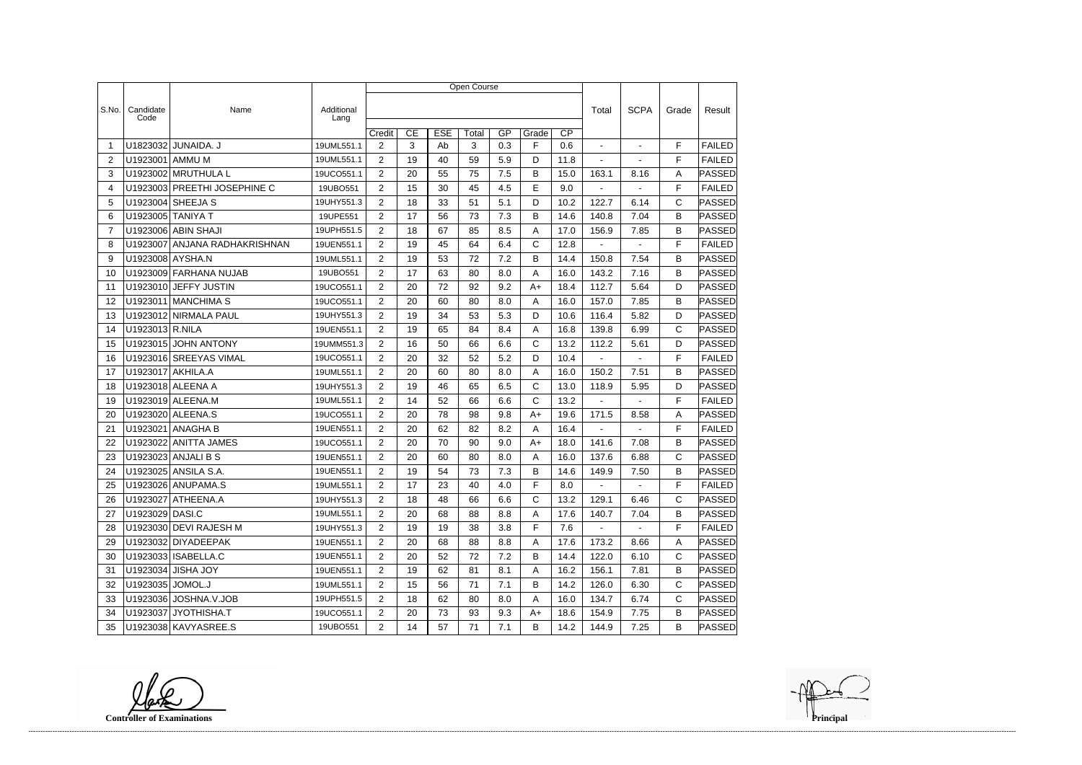|                |                   |                              |                    | Open Course    |    |            |       |     |              |                 |                          |                |              |               |
|----------------|-------------------|------------------------------|--------------------|----------------|----|------------|-------|-----|--------------|-----------------|--------------------------|----------------|--------------|---------------|
|                |                   |                              |                    |                |    |            |       |     |              |                 |                          |                |              |               |
| S.No.          | Candidate<br>Code | Name                         | Additional<br>Lang |                |    |            |       |     |              |                 | Total                    | <b>SCPA</b>    | Grade        | Result        |
|                |                   |                              |                    | Credit         | CE | <b>ESE</b> | Total | GP  | Grade        | $\overline{CP}$ |                          |                |              |               |
| -1             | U1823032          | JUNAIDA. J                   | 19UML551.1         | $\overline{2}$ | 3  | Ab         | 3     | 0.3 | F            | 0.6             |                          | $\blacksquare$ | F            | <b>FAILED</b> |
| 2              | U1923001          | AMMU M                       | 19UML551.1         | $\overline{2}$ | 19 | 40         | 59    | 5.9 | D            | 11.8            | $\overline{\phantom{a}}$ | $\blacksquare$ | F            | <b>FAILED</b> |
| 3              |                   | U1923002 MRUTHULA L          | 19UCO551.1         | $\overline{2}$ | 20 | 55         | 75    | 7.5 | B            | 15.0            | 163.1                    | 8.16           | A            | <b>PASSED</b> |
| 4              |                   | U1923003 PREETHI JOSEPHINE C | 19UBO551           | $\overline{2}$ | 15 | 30         | 45    | 4.5 | E            | 9.0             |                          |                | F            | <b>FAILED</b> |
| 5              |                   | U1923004 SHEEJA S            | 19UHY551.3         | $\overline{2}$ | 18 | 33         | 51    | 5.1 | D            | 10.2            | 122.7                    | 6.14           | C            | PASSED        |
| 6              | U1923005 TANIYA T |                              | 19UPE551           | $\overline{2}$ | 17 | 56         | 73    | 7.3 | В            | 14.6            | 140.8                    | 7.04           | B            | PASSED        |
| $\overline{7}$ |                   | U1923006 ABIN SHAJI          | 19UPH551.5         | $\overline{2}$ | 18 | 67         | 85    | 8.5 | Α            | 17.0            | 156.9                    | 7.85           | B            | <b>PASSED</b> |
| 8              | U1923007          | ANJANA RADHAKRISHNAN         | 19UEN551.1         | 2              | 19 | 45         | 64    | 6.4 | C            | 12.8            | $\blacksquare$           | $\blacksquare$ | F            | <b>FAILED</b> |
| 9              | U1923008 AYSHA.N  |                              | 19UML551.1         | $\overline{2}$ | 19 | 53         | 72    | 7.2 | B            | 14.4            | 150.8                    | 7.54           | B            | PASSED        |
| 10             |                   | U1923009 FARHANA NUJAB       | 19UBO551           | $\overline{2}$ | 17 | 63         | 80    | 8.0 | Α            | 16.0            | 143.2                    | 7.16           | B            | PASSED        |
| 11             |                   | U1923010 JEFFY JUSTIN        | 19UCO551.1         | 2              | 20 | 72         | 92    | 9.2 | $A+$         | 18.4            | 112.7                    | 5.64           | D            | PASSED        |
| 12             |                   | U1923011 MANCHIMA S          | 19UCO551.1         | $\overline{2}$ | 20 | 60         | 80    | 8.0 | A            | 16.0            | 157.0                    | 7.85           | B            | PASSED        |
| 13             |                   | U1923012 NIRMALA PAUL        | 19UHY551.3         | $\overline{2}$ | 19 | 34         | 53    | 5.3 | D            | 10.6            | 116.4                    | 5.82           | D            | <b>PASSED</b> |
| 14             | U1923013 R.NILA   |                              | 19UEN551.1         | $\overline{2}$ | 19 | 65         | 84    | 8.4 | A            | 16.8            | 139.8                    | 6.99           | $\mathsf{C}$ | PASSED        |
| 15             |                   | U1923015 JOHN ANTONY         | 19UMM551.3         | $\overline{2}$ | 16 | 50         | 66    | 6.6 | C            | 13.2            | 112.2                    | 5.61           | D            | PASSED        |
| 16             |                   | U1923016 SREEYAS VIMAL       | 19UCO551.1         | $\overline{2}$ | 20 | 32         | 52    | 5.2 | D            | 10.4            |                          |                | F            | <b>FAILED</b> |
| 17             | U1923017 AKHILA.A |                              | 19UML551.1         | $\overline{2}$ | 20 | 60         | 80    | 8.0 | Α            | 16.0            | 150.2                    | 7.51           | B            | PASSED        |
| 18             |                   | U1923018 ALEENA A            | 19UHY551.3         | 2              | 19 | 46         | 65    | 6.5 | C            | 13.0            | 118.9                    | 5.95           | D            | <b>PASSED</b> |
| 19             |                   | U1923019 ALEENA.M            | 19UML551.1         | $\overline{2}$ | 14 | 52         | 66    | 6.6 | C            | 13.2            |                          |                | F            | <b>FAILED</b> |
| 20             |                   | U1923020 ALEENA.S            | 19UCO551.1         | $\overline{2}$ | 20 | 78         | 98    | 9.8 | A+           | 19.6            | 171.5                    | 8.58           | A            | PASSED        |
| 21             | U1923021          | ANAGHA B                     | 19UEN551.1         | 2              | 20 | 62         | 82    | 8.2 | A            | 16.4            | $\blacksquare$           | ÷              | F            | <b>FAILED</b> |
| 22             |                   | U1923022 ANITTA JAMES        | 19UCO551.1         | $\overline{2}$ | 20 | 70         | 90    | 9.0 | A+           | 18.0            | 141.6                    | 7.08           | B            | PASSED        |
| 23             |                   | U1923023 ANJALI B S          | 19UEN551.1         | $\overline{2}$ | 20 | 60         | 80    | 8.0 | A            | 16.0            | 137.6                    | 6.88           | C            | PASSED        |
| 24             |                   | U1923025 ANSILA S.A.         | 19UEN551.1         | $\overline{2}$ | 19 | 54         | 73    | 7.3 | В            | 14.6            | 149.9                    | 7.50           | B            | PASSED        |
| 25             |                   | U1923026 ANUPAMA.S           | 19UML551.1         | $\overline{2}$ | 17 | 23         | 40    | 4.0 | F            | 8.0             | <b>Contract Contract</b> | $\sim 100$     | F            | FAILED        |
| 26             |                   | U1923027 ATHEENA.A           | 19UHY551.3         | $\overline{2}$ | 18 | 48         | 66    | 6.6 | $\mathsf{C}$ | 13.2            | 129.1                    | 6.46           | C            | <b>PASSED</b> |
| 27             | U1923029 DASI.C   |                              | 19UML551.1         | $\overline{2}$ | 20 | 68         | 88    | 8.8 | Α            | 17.6            | 140.7                    | 7.04           | B            | PASSED        |
| 28             |                   | U1923030 DEVI RAJESH M       | 19UHY551.3         | $\overline{2}$ | 19 | 19         | 38    | 3.8 | F            | 7.6             | $\sim$                   | $\blacksquare$ | F            | <b>FAILED</b> |
| 29             |                   | U1923032 DIYADEEPAK          | 19UEN551.1         | $\overline{2}$ | 20 | 68         | 88    | 8.8 | Α            | 17.6            | 173.2                    | 8.66           | Α            | <b>PASSED</b> |
| 30             |                   | U1923033 ISABELLA.C          | 19UEN551.1         | $\overline{2}$ | 20 | 52         | 72    | 7.2 | B            | 14.4            | 122.0                    | 6.10           | C            | PASSED        |
| 31             |                   | U1923034 JISHA JOY           | 19UEN551.1         | $\overline{2}$ | 19 | 62         | 81    | 8.1 | A            | 16.2            | 156.1                    | 7.81           | B            | PASSED        |
| 32             | U1923035 JOMOL.J  |                              | 19UML551.1         | $\overline{2}$ | 15 | 56         | 71    | 7.1 | В            | 14.2            | 126.0                    | 6.30           | $\mathsf{C}$ | PASSED        |
| 33             |                   | U1923036 JOSHNA.V.JOB        | 19UPH551.5         | $\overline{2}$ | 18 | 62         | 80    | 8.0 | A            | 16.0            | 134.7                    | 6.74           | С            | PASSED        |
| 34             |                   | U1923037 JYOTHISHA.T         | 19UCO551.1         | $\overline{2}$ | 20 | 73         | 93    | 9.3 | A+           | 18.6            | 154.9                    | 7.75           | B            | <b>PASSED</b> |
| 35             |                   | U1923038 KAVYASREE.S         | 19UBO551           | $2^{\circ}$    | 14 | 57         | 71    | 7.1 | B            | 14.2            | 144.9                    | 7.25           | B            | <b>PASSED</b> |

**Controller of Examinations**